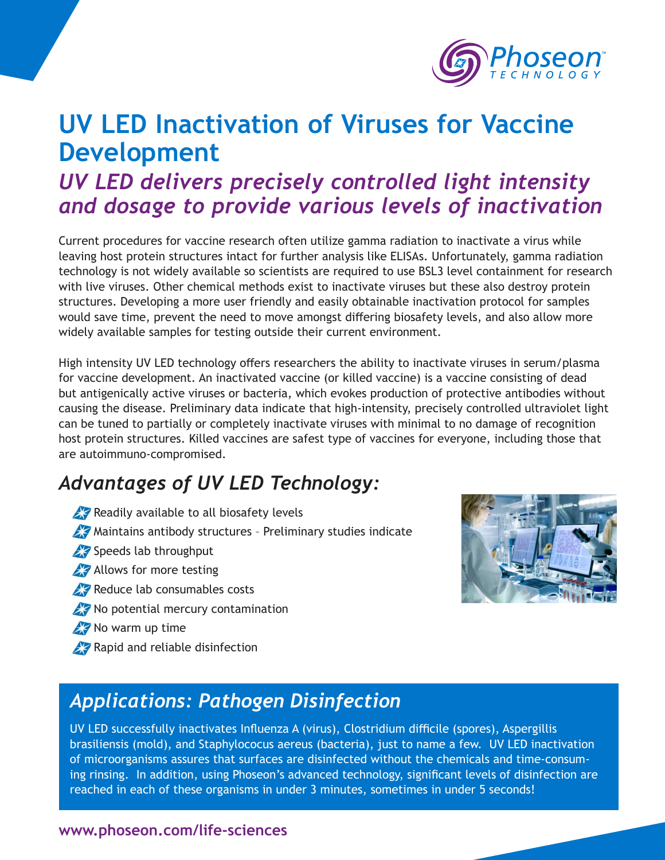

# **UV LED Inactivation of Viruses for Vaccine Development**

### *UV LED delivers precisely controlled light intensity and dosage to provide various levels of inactivation*

Current procedures for vaccine research often utilize gamma radiation to inactivate a virus while leaving host protein structures intact for further analysis like ELISAs. Unfortunately, gamma radiation technology is not widely available so scientists are required to use BSL3 level containment for research with live viruses. Other chemical methods exist to inactivate viruses but these also destroy protein structures. Developing a more user friendly and easily obtainable inactivation protocol for samples would save time, prevent the need to move amongst differing biosafety levels, and also allow more widely available samples for testing outside their current environment.

High intensity UV LED technology offers researchers the ability to inactivate viruses in serum/plasma for vaccine development. An inactivated vaccine (or killed vaccine) is a vaccine consisting of dead but antigenically active viruses or bacteria, which evokes production of protective antibodies without causing the disease. Preliminary data indicate that high-intensity, precisely controlled ultraviolet light can be tuned to partially or completely inactivate viruses with minimal to no damage of recognition host protein structures. Killed vaccines are safest type of vaccines for everyone, including those that are autoimmuno-compromised.

### *Advantages of UV LED Technology:*

- Readily available to all biosafety levels
- **Maintains antibody structures Preliminary studies indicate**
- Speeds lab throughput
- **Allows for more testing**
- Reduce lab consumables costs
- **X** No potential mercury contamination
- No warm up time
- **Rapid and reliable disinfection**



### *Applications: Pathogen Disinfection*

UV LED successfully inactivates Influenza A (virus), Clostridium difficile (spores), Aspergillis brasiliensis (mold), and Staphylococus aereus (bacteria), just to name a few. UV LED inactivation of microorganisms assures that surfaces are disinfected without the chemicals and time-consuming rinsing. In addition, using Phoseon's advanced technology, significant levels of disinfection are reached in each of these organisms in under 3 minutes, sometimes in under 5 seconds!

#### **www.phoseon.com/life-sciences**